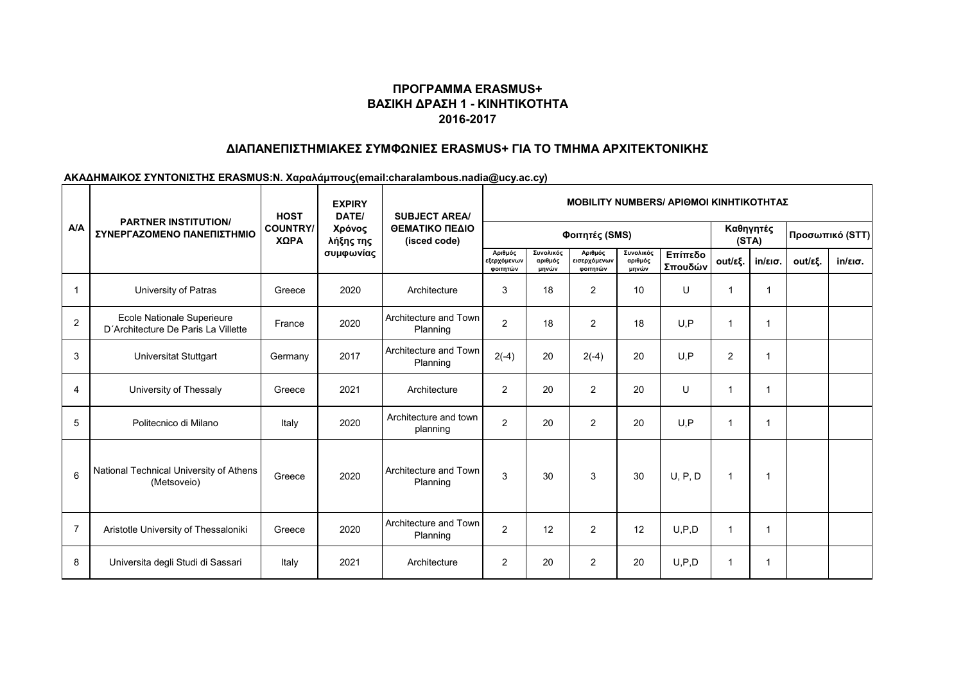## **ΠΡΟΓΡΑΜΜΑ ERASMUS+ ΒΑΣΙΚΗ ΔΡΑΣΗ 1 - ΚΙΝΗΤΙΚΟΤΗΤΑ 2016-2017**

## **ΔΙΑΠΑΝΕΠΙΣΤΗΜΙΑΚΕΣ ΣΥΜΦΩΝΙΕΣ ERASMUS+ ΓΙΑ ΤΟ ΤΜΗΜΑ ΑΡΧΙΤΕΚΤΟΝΙΚΗΣ**

**ΑΚΑΔΗΜΑΙΚΟΣ ΣΥΝΤΟΝΙΣΤΗΣ ERASMUS:Ν. Χαραλάμπους(email:charalambous.nadia@ucy.ac.cy)**

| A/A            | <b>PARTNER INSTITUTION/</b><br>ΣΥΝΕΡΓΑΖΟΜΕΝΟ ΠΑΝΕΠΙΣΤΗΜΙΟ         | <b>HOST</b><br><b>COUNTRY/</b><br>ΧΩΡΑ | <b>EXPIRY</b><br>DATE/<br>Χρόνος<br>λήξης της<br>συμφωνίας | <b>SUBJECT AREA/</b><br>ΘΕΜΑΤΙΚΟ ΠΕΔΙΟ<br>(isced code) | <b>MOBILITY NUMBERS/ APIOMOI KINHTIKOTHTAZ</b> |                               |                                     |                               |                    |                    |                   |                 |                   |  |
|----------------|-------------------------------------------------------------------|----------------------------------------|------------------------------------------------------------|--------------------------------------------------------|------------------------------------------------|-------------------------------|-------------------------------------|-------------------------------|--------------------|--------------------|-------------------|-----------------|-------------------|--|
|                |                                                                   |                                        |                                                            |                                                        | Φοιτητές (SMS)                                 |                               |                                     |                               |                    | Καθηγητές<br>(STA) |                   | Προσωπικό (STT) |                   |  |
|                |                                                                   |                                        |                                                            |                                                        | Αριθμός<br>εξερχόμενων<br>φοιτητών             | Συνολικός<br>αριθμός<br>μηνών | Αριθμός<br>εισερχόμενων<br>φοιτητών | Συνολικός<br>αριθμός<br>μηνών | Επίπεδο<br>Σπουδών | out/εξ.            | $in/\epsilon$ ισ. | out/εξ.         | $in/\epsilon$ ισ. |  |
| 1              | University of Patras                                              | Greece                                 | 2020                                                       | Architecture                                           | 3                                              | 18                            | $\overline{2}$                      | 10                            | U                  | 1                  | 1                 |                 |                   |  |
| $\overline{2}$ | Ecole Nationale Superieure<br>D'Architecture De Paris La Villette | France                                 | 2020                                                       | Architecture and Town<br>Planning                      | 2                                              | 18                            | 2                                   | 18                            | U, P               | 1                  | 1                 |                 |                   |  |
| 3              | <b>Universitat Stuttgart</b>                                      | Germany                                | 2017                                                       | Architecture and Town<br>Planning                      | $2(-4)$                                        | 20                            | $2(-4)$                             | 20                            | U.P                | $\overline{2}$     | 1                 |                 |                   |  |
| 4              | University of Thessaly                                            | Greece                                 | 2021                                                       | Architecture                                           | $\overline{2}$                                 | 20                            | 2                                   | 20                            | U                  | 1                  | 1                 |                 |                   |  |
| 5              | Politecnico di Milano                                             | Italy                                  | 2020                                                       | Architecture and town<br>planning                      | $\overline{2}$                                 | 20                            | $\overline{2}$                      | 20                            | U.P                | $\mathbf 1$        | 1                 |                 |                   |  |
| 6              | National Technical University of Athens<br>(Metsoveio)            | Greece                                 | 2020                                                       | Architecture and Town<br>Planning                      | 3                                              | 30                            | 3                                   | 30                            | U, P, D            | $\mathbf{1}$       | 1                 |                 |                   |  |
| $\overline{7}$ | Aristotle University of Thessaloniki                              | Greece                                 | 2020                                                       | Architecture and Town<br>Planning                      | 2                                              | 12                            | 2                                   | 12                            | U.P.D              | 1                  | 1                 |                 |                   |  |
| 8              | Universita degli Studi di Sassari                                 | Italy                                  | 2021                                                       | Architecture                                           | $\overline{2}$                                 | 20                            | 2                                   | 20                            | U, P, D            | $\mathbf 1$        | 1                 |                 |                   |  |